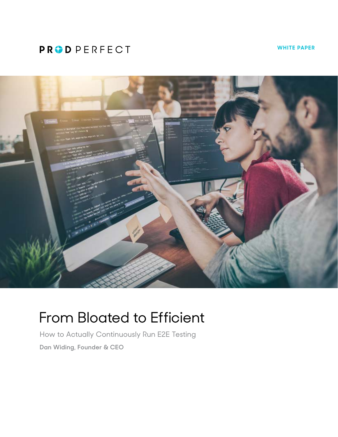## **PRODPERFECT**

**WHITE PAPER**



# From Bloated to Efficient

How to Actually Continuously Run E2E Testing **Dan Widing, Founder & CEO**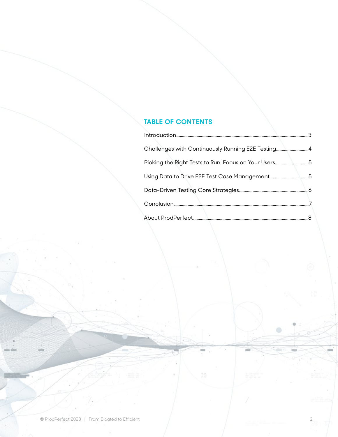### **TABLE OF CONTENTS**

| Challenges with Continuously Running E2E Testing 4    |  |
|-------------------------------------------------------|--|
| Picking the Right Tests to Run: Focus on Your Users 5 |  |
| Using Data to Drive E2E Test Case Management 5        |  |
|                                                       |  |
|                                                       |  |
|                                                       |  |

 $\qquad \qquad \oplus$ 

mil

 $\ensuremath{\mathfrak{I}}\xspace\ensuremath{\mathfrak{I}}\xspace$ 

ç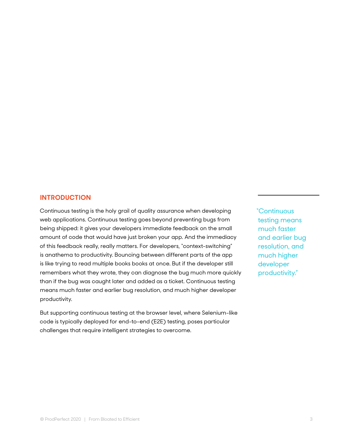#### <span id="page-2-0"></span>**INTRODUCTION**

Continuous testing is the holy grail of quality assurance when developing web applications. Continuous testing goes beyond preventing bugs from being shipped: it gives your developers immediate feedback on the small amount of code that would have just broken your app. And the immediacy of this feedback really, really matters. For developers, "context-switching" is anathema to productivity. Bouncing between different parts of the app is like trying to read multiple books books at once. But if the developer still remembers what they wrote, they can diagnose the bug much more quickly than if the bug was caught later and added as a ticket. Continuous testing means much faster and earlier bug resolution, and much higher developer productivity.

But supporting continuous testing at the browser level, where Selenium-like code is typically deployed for end-to-end (E2E) testing, poses particular challenges that require intelligent strategies to overcome.

"Continuous testing means much faster and earlier bug resolution, and much higher developer productivity."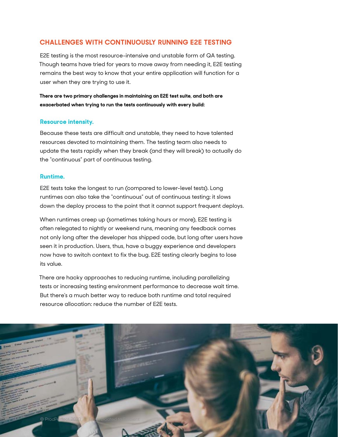#### <span id="page-3-0"></span>**CHALLENGES WITH CONTINUOUSLY RUNNING E2E TESTING**

E2E testing is the most resource-intensive and unstable form of QA testing. Though teams have tried for years to move away from needing it, E2E testing remains the best way to know that your entire application will function for a user when they are trying to use it.

**There are two primary challenges in maintaining an E2E test suite, and both are exacerbated when trying to run the tests continuously with every build:**

#### **Resource intensity.**

Because these tests are difficult and unstable, they need to have talented resources devoted to maintaining them. The testing team also needs to update the tests rapidly when they break (and they will break) to actually do the "continuous" part of continuous testing.

#### **Runtime.**

E2E tests take the longest to run (compared to lower-level tests). Long runtimes can also take the "continuous" out of continuous testing: it slows down the deploy process to the point that it cannot support frequent deploys.

When runtimes creep up (sometimes taking hours or more), E2E testing is often relegated to nightly or weekend runs, meaning any feedback comes not only long after the developer has shipped code, but long after users have seen it in production. Users, thus, have a buggy experience and developers now have to switch context to fix the bug. E2E testing clearly begins to lose its value.

There are hacky approaches to reducing runtime, including parallelizing tests or increasing testing environment performance to decrease wait time. But there's a much better way to reduce both runtime and total required resource allocation: reduce the number of E2E tests.

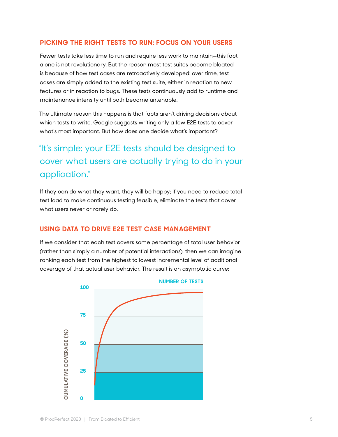#### <span id="page-4-0"></span>**PICKING THE RIGHT TESTS TO RUN: FOCUS ON YOUR USERS**

Fewer tests take less time to run and require less work to maintain—this fact alone is not revolutionary. But the reason most test suites become bloated is because of how test cases are retroactively developed: over time, test cases are simply added to the existing test suite, either in reaction to new features or in reaction to bugs. These tests continuously add to runtime and maintenance intensity until both become untenable.

The ultimate reason this happens is that facts aren't driving decisions about which tests to write. Google suggests writing only a few E2E tests to cover what's most important. But how does one decide what's important?

## "It's simple: your E2E tests should be designed to cover what users are actually trying to do in your application."

If they can do what they want, they will be happy; if you need to reduce total test load to make continuous testing feasible, eliminate the tests that cover what users never or rarely do.

#### **USING DATA TO DRIVE E2E TEST CASE MANAGEMENT**

If we consider that each test covers some percentage of total user behavior (rather than simply a number of potential interactions), then we can imagine ranking each test from the highest to lowest incremental level of additional coverage of that actual user behavior. The result is an asymptotic curve:

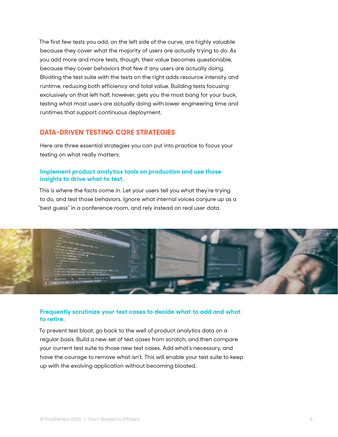<span id="page-5-0"></span>The first few tests you add, on the left side of the curve, are highly valuable because they cover what the majority of users are actually trying to do. As you add more and more tests, though, their value becomes questionable, because they cover behaviors that few if any users are actually doing. Bloating the test suite with the tests on the right adds resource intensity and runtime, reducing both efficiency and total value. Building tests focusing exclusively on that left half, however, gets you the most bang for your buck, testing what most users are actually doing with lower engineering time and runtimes that support continuous deployment.

#### **DATA-DRIVEN TESTING CORE STRATEGIES**

Here are three essential strategies you can put into practice to focus your testing on what really matters:

#### **Implement product analytics tools on production and use those insights to drive what to test.**

This is where the facts come in. Let your users tell you what they're trying to do, and test those behaviors. Ignore what internal voices conjure up as a "best guess" in a conference room, and rely instead on real user data.



#### **Frequently scrutinize your test cases to decide what to add and what to retire.**

To prevent test bloat, go back to the well of product analytics data on a regular basis. Build a new set of test cases from scratch, and then compare your current test suite to those new test cases. Add what's necessary, and have the courage to remove what isn't. This will enable your test suite to keep up with the evolving application without becoming bloated.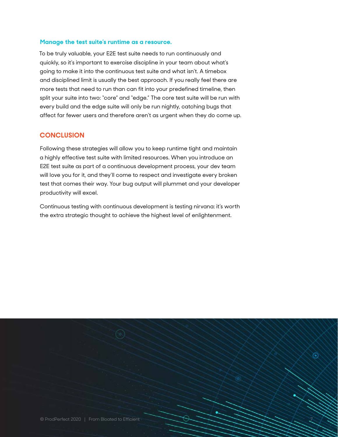#### **Manage the test suite's runtime as a resource.**

To be truly valuable, your E2E test suite needs to run continuously and quickly, so it's important to exercise discipline in your team about what's going to make it into the continuous test suite and what isn't. A timebox and disciplined limit is usually the best approach. If you really feel there are more tests that need to run than can fit into your predefined timeline, then split your suite into two: "core" and "edge." The core test suite will be run with every build and the edge suite will only be run nightly, catching bugs that affect far fewer users and therefore aren't as urgent when they do come up.

#### **CONCLUSION**

Following these strategies will allow you to keep runtime tight and maintain a highly effective test suite with limited resources. When you introduce an E2E test suite as part of a continuous development process, your dev team will love you for it, and they'll come to respect and investigate every broken test that comes their way. Your bug output will plummet and your developer productivity will excel.

Continuous testing with continuous development is testing nirvana: it's worth the extra strategic thought to achieve the highest level of enlightenment.